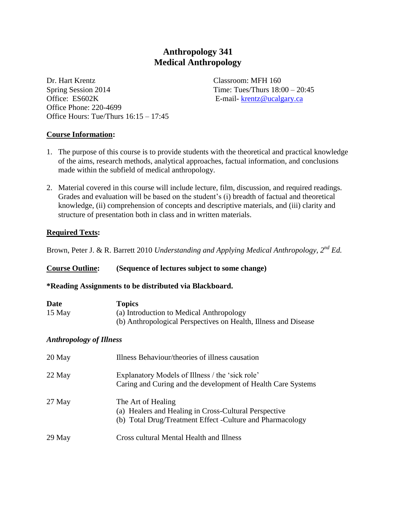# **Anthropology 341 Medical Anthropology**

Dr. Hart Krentz Classroom: MFH 160 Spring Session  $2014$  Time: Tues/Thurs  $18:00 - 20:45$ Office: ES602K E-mail- [krentz@ucalgary.ca](mailto:krentz@ucalgary.ca) Office Phone: 220-4699 Office Hours: Tue/Thurs 16:15 – 17:45

#### **Course Information:**

- 1. The purpose of this course is to provide students with the theoretical and practical knowledge of the aims, research methods, analytical approaches, factual information, and conclusions made within the subfield of medical anthropology.
- 2. Material covered in this course will include lecture, film, discussion, and required readings. Grades and evaluation will be based on the student's (i) breadth of factual and theoretical knowledge, (ii) comprehension of concepts and descriptive materials, and (iii) clarity and structure of presentation both in class and in written materials.

#### **Required Texts:**

Brown, Peter J. & R. Barrett 2010 *Understanding and Applying Medical Anthropology, 2nd Ed.*

| <b>Course Outline:</b>         | (Sequence of lectures subject to some change)                                                                                             |  |  |  |
|--------------------------------|-------------------------------------------------------------------------------------------------------------------------------------------|--|--|--|
|                                | *Reading Assignments to be distributed via Blackboard.                                                                                    |  |  |  |
| Date<br>15 May                 | <b>Topics</b><br>(a) Introduction to Medical Anthropology<br>(b) Anthropological Perspectives on Health, Illness and Disease              |  |  |  |
| <b>Anthropology of Illness</b> |                                                                                                                                           |  |  |  |
| 20 May                         | Illness Behaviour/theories of illness causation                                                                                           |  |  |  |
| 22 May                         | Explanatory Models of Illness / the 'sick role'<br>Caring and Curing and the development of Health Care Systems                           |  |  |  |
| 27 May                         | The Art of Healing<br>(a) Healers and Healing in Cross-Cultural Perspective<br>(b) Total Drug/Treatment Effect - Culture and Pharmacology |  |  |  |
| 29 May                         | <b>Cross cultural Mental Health and Illness</b>                                                                                           |  |  |  |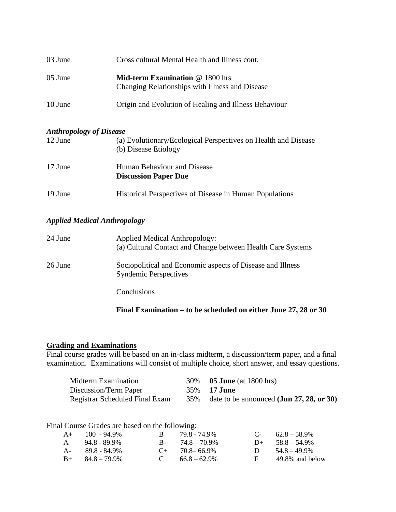| 03 June | Cross cultural Mental Health and Illness cont.                                            |
|---------|-------------------------------------------------------------------------------------------|
| 05 June | <b>Mid-term Examination @ 1800 hrs</b><br>Changing Relationships with Illness and Disease |
| 10 June | Origin and Evolution of Healing and Illness Behaviour                                     |

#### *Anthropology of Disease*

| 12 June | (a) Evolutionary/Ecological Perspectives on Health and Disease<br>(b) Disease Etiology |  |  |  |
|---------|----------------------------------------------------------------------------------------|--|--|--|
| 17 June | Human Behaviour and Disease<br><b>Discussion Paper Due</b>                             |  |  |  |
| 19 June | Historical Perspectives of Disease in Human Populations                                |  |  |  |

### *Applied Medical Anthropology*

| 24 June | <b>Applied Medical Anthropology:</b><br>(a) Cultural Contact and Change between Health Care Systems |
|---------|-----------------------------------------------------------------------------------------------------|
| 26 June | Sociopolitical and Economic aspects of Disease and Illness<br><b>Syndemic Perspectives</b>          |
|         | Conclusions                                                                                         |

### **Final Examination – to be scheduled on either June 27, 28 or 30**

## **Grading and Examinations**

Final course grades will be based on an in-class midterm, a discussion/term paper, and a final examination. Examinations will consist of multiple choice, short answer, and essay questions.

| Midterm Examination            | 30% <b>05 June</b> (at 1800 hrs)                     |
|--------------------------------|------------------------------------------------------|
| Discussion/Term Paper          | 35% <b>17 June</b>                                   |
| Registrar Scheduled Final Exam | 35% date to be announced $({\bf Jun 27, 28, or 30})$ |

Final Course Grades are based on the following:

|              | $A+$ 100 - 94.9%        |              | 79.8 - 74.9%         |          | $C-$ 62.8 – 58.9%    |
|--------------|-------------------------|--------------|----------------------|----------|----------------------|
| $\mathsf{A}$ | 94.8 - 89.9%            |              | $B - 74.8 - 70.9\%$  |          | $D_{+}$ 58.8 – 54.9% |
|              | $A - 89.8 - 84.9\%$     |              | $C_{+}$ 70.8 – 66.9% | $\Box$   | $54.8 - 49.9\%$      |
|              | $B_{+}$ $84.8 - 79.9\%$ | $\mathbf{C}$ | $66.8 - 62.9\%$      | <b>E</b> | 49.8% and below      |